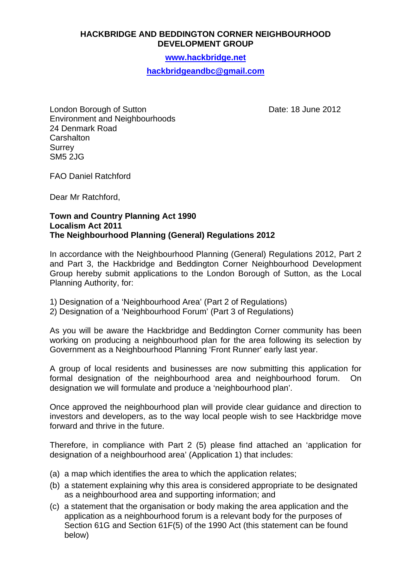## **HACKBRIDGE AND BEDDINGTON CORNER NEIGHBOURHOOD DEVELOPMENT GROUP**

**www.hackbridge.net**

**hackbridgeandbc@gmail.com** 

London Borough of Sutton Date: 18 June 2012 Environment and Neighbourhoods 24 Denmark Road **Carshalton Surrey** SM5 2JG

FAO Daniel Ratchford

Dear Mr Ratchford,

## **Town and Country Planning Act 1990 Localism Act 2011 The Neighbourhood Planning (General) Regulations 2012**

In accordance with the Neighbourhood Planning (General) Regulations 2012, Part 2 and Part 3, the Hackbridge and Beddington Corner Neighbourhood Development Group hereby submit applications to the London Borough of Sutton, as the Local Planning Authority, for:

- 1) Designation of a 'Neighbourhood Area' (Part 2 of Regulations)
- 2) Designation of a 'Neighbourhood Forum' (Part 3 of Regulations)

As you will be aware the Hackbridge and Beddington Corner community has been working on producing a neighbourhood plan for the area following its selection by Government as a Neighbourhood Planning 'Front Runner' early last year.

A group of local residents and businesses are now submitting this application for formal designation of the neighbourhood area and neighbourhood forum. designation we will formulate and produce a 'neighbourhood plan'.

Once approved the neighbourhood plan will provide clear guidance and direction to investors and developers, as to the way local people wish to see Hackbridge move forward and thrive in the future.

Therefore, in compliance with Part 2 (5) please find attached an 'application for designation of a neighbourhood area' (Application 1) that includes:

- (a) a map which identifies the area to which the application relates;
- (b) a statement explaining why this area is considered appropriate to be designated as a neighbourhood area and supporting information; and
- (c) a statement that the organisation or body making the area application and the application as a neighbourhood forum is a relevant body for the purposes of Section 61G and Section 61F(5) of the 1990 Act (this statement can be found below)